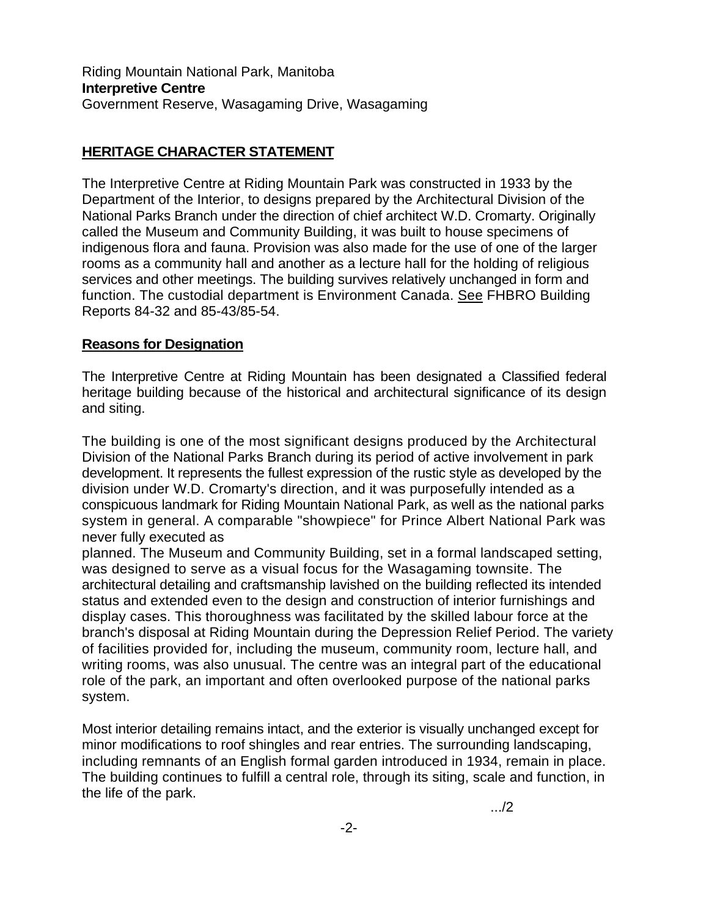## **HERITAGE CHARACTER STATEMENT**

The Interpretive Centre at Riding Mountain Park was constructed in 1933 by the Department of the Interior, to designs prepared by the Architectural Division of the National Parks Branch under the direction of chief architect W.D. Cromarty. Originally called the Museum and Community Building, it was built to house specimens of indigenous flora and fauna. Provision was also made for the use of one of the larger rooms as a community hall and another as a lecture hall for the holding of religious services and other meetings. The building survives relatively unchanged in form and function. The custodial department is Environment Canada. See FHBRO Building Reports 84-32 and 85-43/85-54.

## **Reasons for Designation**

The Interpretive Centre at Riding Mountain has been designated a Classified federal heritage building because of the historical and architectural significance of its design and siting.

The building is one of the most significant designs produced by the Architectural Division of the National Parks Branch during its period of active involvement in park development. It represents the fullest expression of the rustic style as developed by the division under W.D. Cromarty's direction, and it was purposefully intended as a conspicuous landmark for Riding Mountain National Park, as well as the national parks system in general. A comparable "showpiece" for Prince Albert National Park was never fully executed as

planned. The Museum and Community Building, set in a formal landscaped setting, was designed to serve as a visual focus for the Wasagaming townsite. The architectural detailing and craftsmanship lavished on the building reflected its intended status and extended even to the design and construction of interior furnishings and display cases. This thoroughness was facilitated by the skilled labour force at the branch's disposal at Riding Mountain during the Depression Relief Period. The variety of facilities provided for, including the museum, community room, lecture hall, and writing rooms, was also unusual. The centre was an integral part of the educational role of the park, an important and often overlooked purpose of the national parks system.

Most interior detailing remains intact, and the exterior is visually unchanged except for minor modifications to roof shingles and rear entries. The surrounding landscaping, including remnants of an English formal garden introduced in 1934, remain in place. The building continues to fulfill a central role, through its siting, scale and function, in the life of the park.